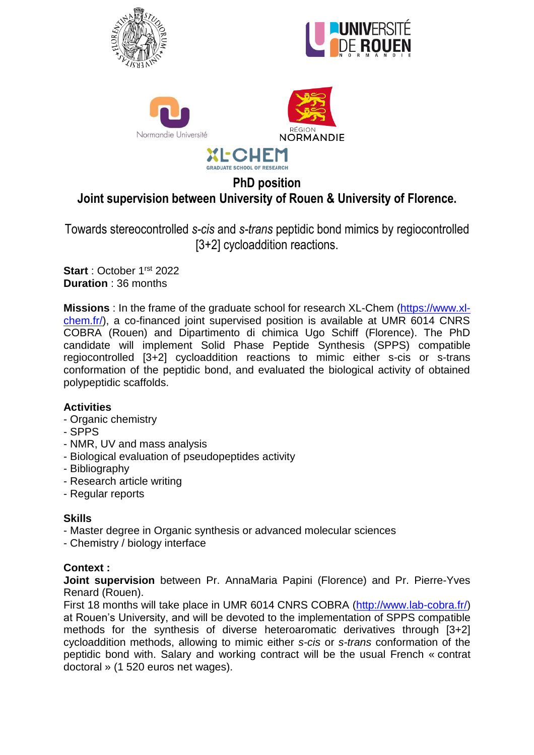







# **PhD position Joint supervision between University of Rouen & University of Florence.**

**GRADUATE SCHOOL OF RESEARCH** 

Towards stereocontrolled *s-cis* and *s-trans* peptidic bond mimics by regiocontrolled [3+2] cycloaddition reactions.

**Start**: October 1<sup>rst</sup> 2022 **Duration** : 36 months

**Missions** : In the frame of the graduate school for research XL-Chem [\(https://www.xl](https://www.xl-chem.fr/)[chem.fr/\)](https://www.xl-chem.fr/), a co-financed joint supervised position is available at UMR 6014 CNRS COBRA (Rouen) and Dipartimento di chimica Ugo Schiff (Florence). The PhD candidate will implement Solid Phase Peptide Synthesis (SPPS) compatible regiocontrolled [3+2] cycloaddition reactions to mimic either s-cis or s-trans conformation of the peptidic bond, and evaluated the biological activity of obtained polypeptidic scaffolds.

## **Activities**

- Organic chemistry
- SPPS
- NMR, UV and mass analysis
- Biological evaluation of pseudopeptides activity
- Bibliography
- Research article writing
- Regular reports

## **Skills**

- Master degree in Organic synthesis or advanced molecular sciences
- Chemistry / biology interface

## **Context :**

**Joint supervision** between Pr. AnnaMaria Papini (Florence) and Pr. Pierre-Yves Renard (Rouen).

First 18 months will take place in UMR 6014 CNRS COBRA [\(http://www.lab-cobra.fr/\)](http://www.lab-cobra.fr/) at Rouen's University, and will be devoted to the implementation of SPPS compatible methods for the synthesis of diverse heteroaromatic derivatives through [3+2] cycloaddition methods, allowing to mimic either *s-cis* or *s-trans* conformation of the peptidic bond with. Salary and working contract will be the usual French « contrat doctoral » (1 520 euros net wages).